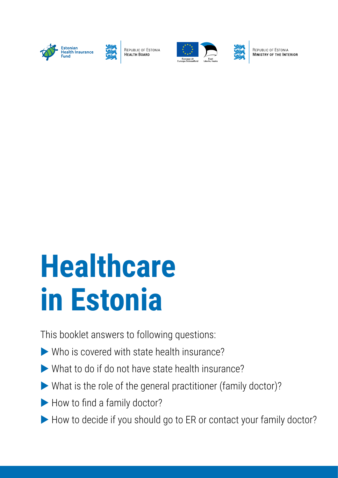



REPUBLIC OF ESTONIA HEALTH BOARD





REPUBLIC OF ESTONIA **MINISTRY OF THE INTERIOR** 

# **Healthcare in Estonia**

This booklet answers to following questions:

- $\triangleright$  Who is covered with state health insurance?
- $\blacktriangleright$  What to do if do not have state health insurance?
- $\blacktriangleright$  What is the role of the general practitioner (family doctor)?
- $\blacktriangleright$  How to find a family doctor?
- How to decide if you should go to ER or contact your family doctor?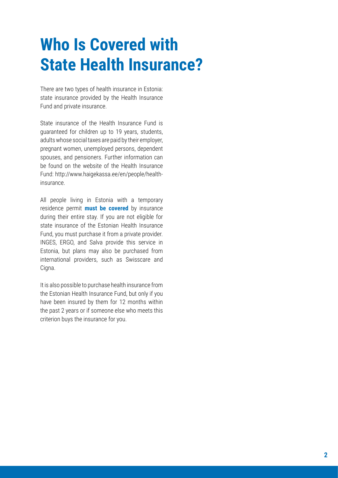## **Who Is Covered with State Health Insurance?**

There are two types of health insurance in Estonia: state insurance provided by the Health Insurance Fund and private insurance.

State insurance of the Health Insurance Fund is guaranteed for children up to 19 years, students, adults whose social taxes are paid by their employer, pregnant women, unemployed persons, dependent spouses, and pensioners. Further information can be found on the website of the Health Insurance Fund: http://www.haigekassa.ee/en/people/healthinsurance.

All people living in Estonia with a temporary residence permit **must be covered** by insurance during their entire stay. If you are not eligible for state insurance of the Estonian Health Insurance Fund, you must purchase it from a private provider. INGES, ERGO, and Salva provide this service in Estonia, but plans may also be purchased from international providers, such as Swisscare and Cigna.

It is also possible to purchase health insurance from the Estonian Health Insurance Fund, but only if you have been insured by them for 12 months within the past 2 years or if someone else who meets this criterion buys the insurance for you.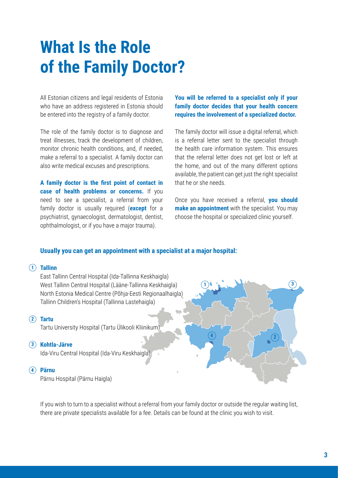## **What Is the Role of the Family Doctor?**

All Estonian citizens and legal residents of Estonia who have an address registered in Estonia should be entered into the registry of a family doctor.

The role of the family doctor is to diagnose and treat illnesses, track the development of children, monitor chronic health conditions, and, if needed, make a referral to a specialist. A family doctor can also write medical excuses and prescriptions.

**A family doctor is the first point of contact in case of health problems or concerns.** If you need to see a specialist, a referral from your family doctor is usually required (**except** for a psychiatrist, gynaecologist, dermatologist, dentist, ophthalmologist, or if you have a major trauma).

**You will be referred to a specialist only if your family doctor decides that your health concern requires the involvement of a specialized doctor.**

The family doctor will issue a digital referral, which is a referral letter sent to the specialist through the health care information system. This ensures that the referral letter does not get lost or left at the home, and out of the many different options available, the patient can get just the right specialist that he or she needs.

Once you have received a referral, **you should make an appointment** with the specialist. You may choose the hospital or specialized clinic yourself.

### **Usually you can get an appointment with a specialist at a major hospital:**

### **Tallinn 1**

East Tallinn Central Hospital (Ida-Tallinna Keskhaigla) West Tallinn Central Hospital (Lääne-Tallinna Keskhaigla) North Estonia Medical Centre (Põhja-Eesti Regionaalhaigla) Tallinn Children's Hospital (Tallinna Lastehaigla)

### **Tartu 2**

Tartu University Hospital (Tartu Ülikooli Kliinikum)

### **Kohtla-Järve 3**

Ida-Viru Central Hospital (Ida-Viru Keskhaigla)

### **Pärnu 4**

Pärnu Hospital (Pärnu Haigla)



If you wish to turn to a specialist without a referral from your family doctor or outside the regular waiting list, there are private specialists available for a fee. Details can be found at the clinic you wish to visit.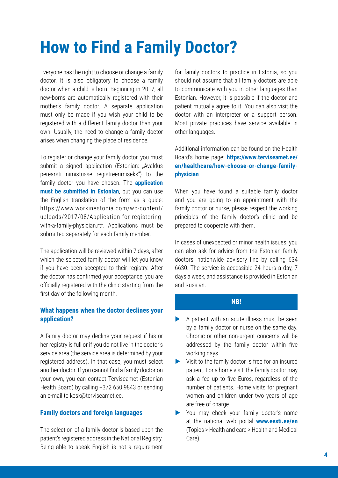## **How to Find a Family Doctor?**

Everyone has the right to choose or change a family doctor. It is also obligatory to choose a family doctor when a child is born. Beginning in 2017, all new-borns are automatically registered with their mother's family doctor. A separate application must only be made if you wish your child to be registered with a different family doctor than your own. Usually, the need to change a family doctor arises when changing the place of residence.

To register or change your family doctor, you must submit a signed application (Estonian: "Avaldus perearsti nimistusse registreerimiseks") to the family doctor you have chosen. The **application must be submitted in Estonian**, but you can use the English translation of the form as a guide: https://www.workinestonia.com/wp-content/ uploads/2017/08/Application-for-registeringwith-a-family-physician.rtf. Applications must be submitted separately for each family member.

The application will be reviewed within 7 days, after which the selected family doctor will let you know if you have been accepted to their registry. After the doctor has confirmed your acceptance, you are officially registered with the clinic starting from the first day of the following month.

## **What happens when the doctor declines your application?**

A family doctor may decline your request if his or her registry is full or if you do not live in the doctor's service area (the service area is determined by your registered address). In that case, you must select another doctor. If you cannot find a family doctor on your own, you can contact Terviseamet (Estonian Health Board) by calling +372 650 9843 or sending an e-mail to kesk@terviseamet.ee.

## **Family doctors and foreign languages**

The selection of a family doctor is based upon the patient's registered address in the National Registry. Being able to speak English is not a requirement for family doctors to practice in Estonia, so you should not assume that all family doctors are able to communicate with you in other languages than Estonian. However, it is possible if the doctor and patient mutually agree to it. You can also visit the doctor with an interpreter or a support person. Most private practices have service available in other languages.

Additional information can be found on the Health Board's home page: **https://www.terviseamet.ee/ en/healthcare/how-choose-or-change-familyphysician**

When you have found a suitable family doctor and you are going to an appointment with the family doctor or nurse, please respect the working principles of the family doctor's clinic and be prepared to cooperate with them.

In cases of unexpected or minor health issues, you can also ask for advice from the Estonian family doctors' nationwide advisory line by calling 634 6630. The service is accessible 24 hours a day, 7 days a week, and assistance is provided in Estonian and Russian.

### **NB!**

- $\blacktriangleright$  A patient with an acute illness must be seen by a family doctor or nurse on the same day. Chronic or other non-urgent concerns will be addressed by the family doctor within five working days.
- $\triangleright$  Visit to the family doctor is free for an insured patient. For a home visit, the family doctor may ask a fee up to five Euros, regardless of the number of patients. Home visits for pregnant women and children under two years of age are free of charge.
- You may check your family doctor's name at the national web portal **www.eesti.ee/en** (Topics > Health and care > Health and Medical Care).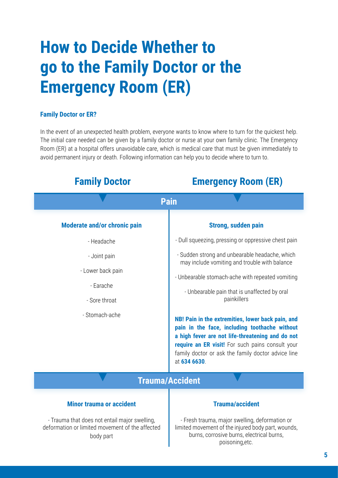## **How to Decide Whether to go to the Family Doctor or the Emergency Room (ER)**

## **Family Doctor or ER?**

In the event of an unexpected health problem, everyone wants to know where to turn for the quickest help. The initial care needed can be given by a family doctor or nurse at your own family clinic. The Emergency Room (ER) at a hospital offers unavoidable care, which is medical care that must be given immediately to avoid permanent injury or death. Following information can help you to decide where to turn to.

**Family Doctor Emergency Room (ER)**

| i anni y Doctor                                                                                               | ешстусноў коонг (ек)                                                                                                                                                                                                                                                             |
|---------------------------------------------------------------------------------------------------------------|----------------------------------------------------------------------------------------------------------------------------------------------------------------------------------------------------------------------------------------------------------------------------------|
| <b>Pain</b>                                                                                                   |                                                                                                                                                                                                                                                                                  |
| Moderate and/or chronic pain                                                                                  | <b>Strong, sudden pain</b>                                                                                                                                                                                                                                                       |
| - Headache                                                                                                    | - Dull squeezing, pressing or oppressive chest pain                                                                                                                                                                                                                              |
| - Joint pain                                                                                                  | - Sudden strong and unbearable headache, which<br>may include vomiting and trouble with balance                                                                                                                                                                                  |
| - Lower back pain                                                                                             | - Unbearable stomach-ache with repeated vomiting                                                                                                                                                                                                                                 |
| - Earache<br>- Sore throat                                                                                    | - Unbearable pain that is unaffected by oral<br>painkillers                                                                                                                                                                                                                      |
| - Stomach-ache                                                                                                | NB! Pain in the extremities, lower back pain, and<br>pain in the face, including toothache without<br>a high fever are not life-threatening and do not<br>require an ER visit! For such pains consult your<br>family doctor or ask the family doctor advice line<br>at 634 6630. |
| <b>Trauma/Accident</b>                                                                                        |                                                                                                                                                                                                                                                                                  |
| <b>Minor trauma or accident</b>                                                                               | <b>Trauma/accident</b>                                                                                                                                                                                                                                                           |
| - Trauma that does not entail major swelling,<br>deformation or limited movement of the affected<br>body part | - Fresh trauma, major swelling, deformation or<br>limited movement of the injured body part, wounds,<br>burns, corrosive burns, electrical burns,                                                                                                                                |

I

## **5**

poisoning,etc.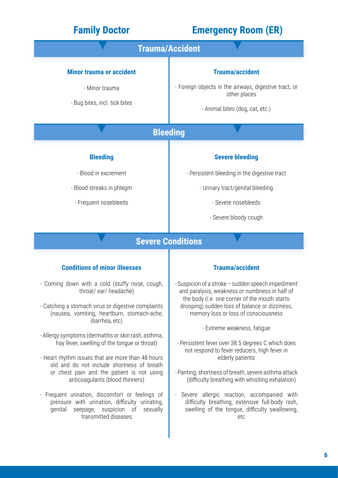- Frequent urination, discomfort or feelings of pressure with urination, difficulty urinating, genital seepage, suspicion of sexually transmitted diseases

| <b>Family Doctor</b>                                                                                                                                                                                                                                                                     | <b>Emergency Room (ER)</b>                                                                                                                                                                                                                                       |  |
|------------------------------------------------------------------------------------------------------------------------------------------------------------------------------------------------------------------------------------------------------------------------------------------|------------------------------------------------------------------------------------------------------------------------------------------------------------------------------------------------------------------------------------------------------------------|--|
| <b>Trauma/Accident</b>                                                                                                                                                                                                                                                                   |                                                                                                                                                                                                                                                                  |  |
| <b>Minor trauma or accident</b><br>- Minor trauma<br>- Bug bites, incl. tick bites                                                                                                                                                                                                       | <b>Trauma/accident</b><br>- Foreign objects in the airways, digestive tract, or<br>other places<br>- Animal bites (dog, cat, etc.)                                                                                                                               |  |
| <b>Bleeding</b>                                                                                                                                                                                                                                                                          |                                                                                                                                                                                                                                                                  |  |
| <b>Bleeding</b><br>- Blood in excrement<br>- Blood streaks in phlegm<br>- Frequent nosebleeds                                                                                                                                                                                            | <b>Severe bleeding</b><br>- Persistent bleeding in the digestive tract<br>- Urinary tract/genital bleeding<br>- Severe nosebleeds<br>- Severe bloody cough                                                                                                       |  |
| <b>Severe Conditions</b>                                                                                                                                                                                                                                                                 |                                                                                                                                                                                                                                                                  |  |
| <b>Conditions of minor illnesses</b>                                                                                                                                                                                                                                                     | <b>Trauma/accident</b>                                                                                                                                                                                                                                           |  |
| - Coming down with a cold (stuffy nose, cough,<br>throat/ear/headache)<br>- Catching a stomach virus or digestive complaints<br>(nausea, vomiting, heartburn, stomach-ache,<br>diarrhea, etc)                                                                                            | - Suspicion of a stroke - sudden speech impediment<br>and paralysis, weakness or numbness in half of<br>the body (i.e. one corner of the mouth starts<br>drooping) sudden loss of balance or dizziness,<br>memory loss or loss of consciousness                  |  |
| - Allergy symptoms (dermatitis or skin rash, asthma,<br>hay fever, swelling of the tongue or throat)<br>- Heart rhythm issues that are more than 48 hours<br>old and do not include shortness of breath<br>or chest pain and the patient is not using<br>anticoagulants (blood thinners) | - Extreme weakness, fatique<br>- Persistent fever over 38.5 degrees C which does<br>not respond to fever reducers, high fever in<br>elderly patients<br>- Panting, shortness of breath, severe asthma attack<br>(difficulty breathing with whistling exhalation) |  |

- Severe allergic reaction, accompanied with difficulty breathing, extensive full-body rash, swelling of the tongue, difficulty swallowing, etc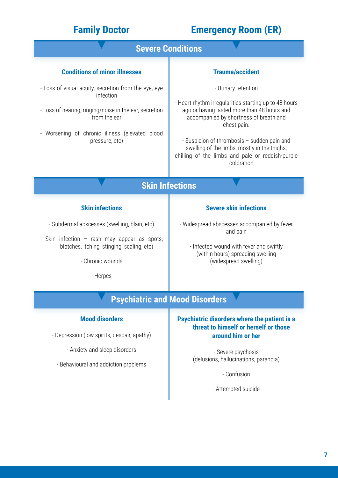## **Family Doctor Emergency Room (ER)**

## **Conditions of minor illnesses** - Loss of visual acuity, secretion from the eye, eye infection - Loss of hearing, ringing/noise in the ear, secretion from the ear - Worsening of chronic illness (elevated blood pressure, etc) **Skin infections** - Subdermal abscesses (swelling, blain, etc) - Skin infection – rash may appear as spots, blotches, itching, stinging, scaling, etc) - Chronic wounds - Herpes **Mood disorders** - Depression (low spirits, despair, apathy) - Anxiety and sleep disorders - Behavioural and addiction problems **Trauma/accident** - Urinary retention - Heart rhythm irregularities starting up to 48 hours ago or having lasted more than 48 hours and accompanied by shortness of breath and chest pain. - Suspicion of thrombosis – sudden pain and swelling of the limbs, mostly in the thighs; chilling of the limbs and pale or reddish-purple coloration **Severe skin infections** - Widespread abscesses accompanied by fever and pain - Infected wound with fever and swiftly (within hours) spreading swelling (widespread swelling) **Psychiatric disorders where the patient is a threat to himself or herself or those around him or her** - Severe psychosis (delusions, hallucinations, paranoia) - Confusion - Attempted suicide **Psychiatric and Mood Disorders Severe Conditions Skin Infections**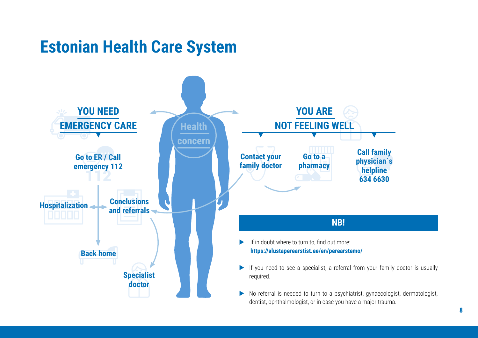## **Estonian Health Care System**

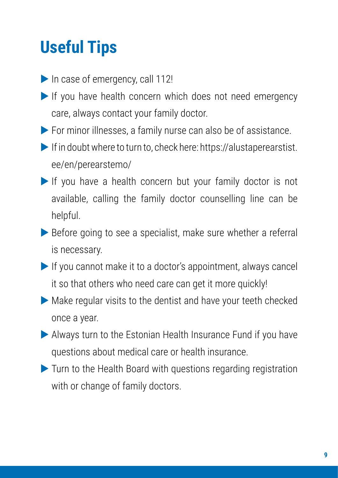## **Useful Tips**

- $\blacktriangleright$  In case of emergency, call 112!
- $\blacktriangleright$  If you have health concern which does not need emergency care, always contact your family doctor.
- $\blacktriangleright$  For minor illnesses, a family nurse can also be of assistance.
- If in doubt where to turn to, check here: https://alustaperearstist. ee/en/perearstemo/
- If you have a health concern but your family doctor is not available, calling the family doctor counselling line can be helpful.
- $\triangleright$  Before going to see a specialist, make sure whether a referral is necessary.
- $\blacktriangleright$  If you cannot make it to a doctor's appointment, always cancel it so that others who need care can get it more quickly!
- $\blacktriangleright$  Make regular visits to the dentist and have your teeth checked once a year.
- Always turn to the Estonian Health Insurance Fund if you have questions about medical care or health insurance.
- $\blacktriangleright$  Turn to the Health Board with questions regarding registration with or change of family doctors.